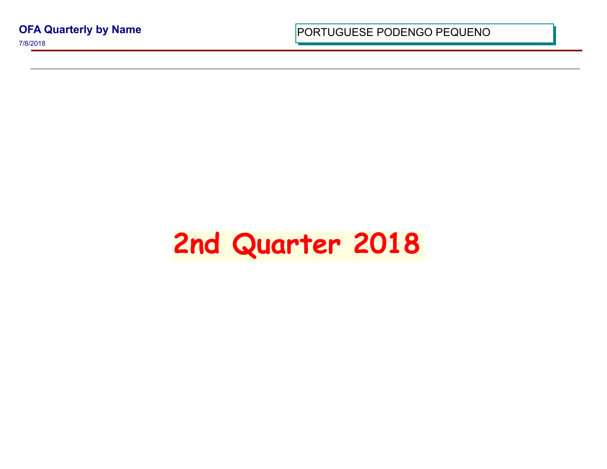**OFA Quarterly by Name**

7/8/2018

PORTUGUESE PODENGO PEQUI

## **2nd Quarter 2018**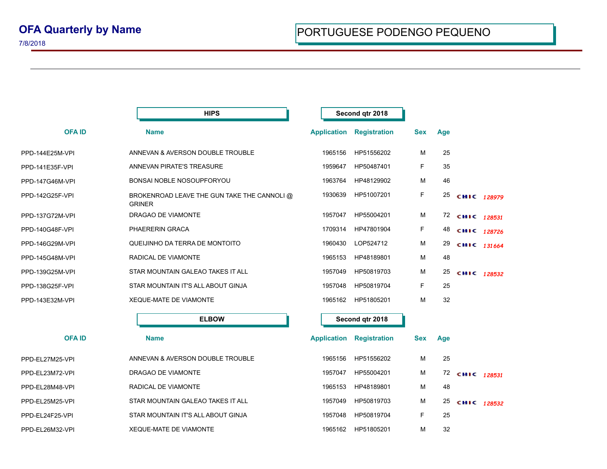|                 | <b>HIPS</b>                                                  |                    | Second qtr 2018     |            |     |             |  |
|-----------------|--------------------------------------------------------------|--------------------|---------------------|------------|-----|-------------|--|
| <b>OFAID</b>    | <b>Name</b>                                                  | <b>Application</b> | <b>Registration</b> | <b>Sex</b> | Age |             |  |
| PPD-144E25M-VPI | ANNEVAN & AVERSON DOUBLE TROUBLE                             | 1965156            | HP51556202          | M          | 25  |             |  |
| PPD-141E35F-VPI | ANNEVAN PIRATE'S TREASURE                                    | 1959647            | HP50487401          | F          | 35  |             |  |
| PPD-147G46M-VPI | BONSAI NOBLE NOSOUPFORYOU                                    | 1963764            | HP48129902          | М          | 46  |             |  |
| PPD-142G25F-VPI | BROKENROAD LEAVE THE GUN TAKE THE CANNOLI @<br><b>GRINER</b> | 1930639            | HP51007201          | F.         | 25  | CHIC 128979 |  |
| PPD-137G72M-VPI | DRAGAO DE VIAMONTE                                           | 1957047            | HP55004201          | м          | 72  | CHIC 128531 |  |
| PPD-140G48F-VPI | PHAERERIN GRACA                                              | 1709314            | HP47801904          | F          | 48  | CHIC 128726 |  |
| PPD-146G29M-VPI | QUEIJINHO DA TERRA DE MONTOITO                               | 1960430            | LOP524712           | M          | 29  | CHIC 131664 |  |
| PPD-145G48M-VPI | RADICAL DE VIAMONTE                                          | 1965153            | HP48189801          | м          | 48  |             |  |
| PPD-139G25M-VPI | STAR MOUNTAIN GALEAO TAKES IT ALL                            | 1957049            | HP50819703          | м          | 25  | CHIC 128532 |  |
| PPD-138G25F-VPI | STAR MOUNTAIN IT'S ALL ABOUT GINJA                           | 1957048            | HP50819704          | F.         | 25  |             |  |
| PPD-143E32M-VPI | <b>XEQUE-MATE DE VIAMONTE</b>                                | 1965162            | HP51805201          | M          | 32  |             |  |
|                 | <b>ELBOW</b>                                                 |                    | Second qtr 2018     |            |     |             |  |
| <b>OFAID</b>    | <b>Name</b>                                                  | <b>Application</b> | <b>Registration</b> | <b>Sex</b> | Age |             |  |
| PPD-EL27M25-VPI | ANNEVAN & AVERSON DOUBLE TROUBLE                             | 1965156            | HP51556202          | м          | 25  |             |  |
| PPD-EL23M72-VPI | DRAGAO DE VIAMONTE                                           | 1957047            | HP55004201          | м          | 72  | CHIC 128531 |  |
| PPD-EL28M48-VPI | RADICAL DE VIAMONTE                                          | 1965153            | HP48189801          | M          | 48  |             |  |
| PPD-EL25M25-VPI | STAR MOUNTAIN GALEAO TAKES IT ALL                            | 1957049            | HP50819703          | M          | 25  | CHIC 128532 |  |
| PPD-EL24F25-VPI | STAR MOUNTAIN IT'S ALL ABOUT GINJA                           | 1957048            | HP50819704          | F.         | 25  |             |  |
| PPD-EL26M32-VPI | XEQUE-MATE DE VIAMONTE                                       | 1965162            | HP51805201          | М          | 32  |             |  |
|                 |                                                              |                    |                     |            |     |             |  |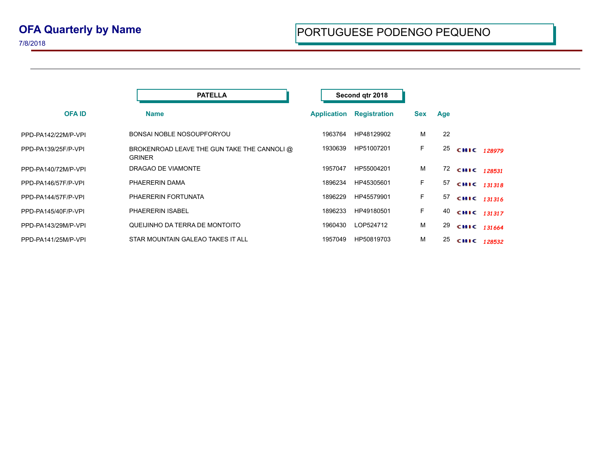|                     | <b>PATELLA</b>                                               |                    | Second qtr 2018     |            |     |                |  |
|---------------------|--------------------------------------------------------------|--------------------|---------------------|------------|-----|----------------|--|
| <b>OFAID</b>        | <b>Name</b>                                                  | <b>Application</b> | <b>Registration</b> | <b>Sex</b> | Age |                |  |
| PPD-PA142/22M/P-VPI | BONSAI NOBLE NOSOUPFORYOU                                    | 1963764            | HP48129902          | м          | 22  |                |  |
| PPD-PA139/25F/P-VPI | BROKENROAD LEAVE THE GUN TAKE THE CANNOLI @<br><b>GRINER</b> | 1930639            | HP51007201          | F.         | 25  | CHIC 128979    |  |
| PPD-PA140/72M/P-VPI | DRAGAO DE VIAMONTE                                           | 1957047            | HP55004201          | м          |     | 72 CHIC 128531 |  |
| PPD-PA146/57F/P-VPI | PHAERERIN DAMA                                               | 1896234            | HP45305601          | F.         |     | 57 CHIC 131318 |  |
| PPD-PA144/57F/P-VPI | PHAERERIN FORTUNATA                                          | 1896229            | HP45579901          | F.         |     | 57 CHIC 131316 |  |
| PPD-PA145/40F/P-VPI | <b>PHAERERIN ISABEL</b>                                      | 1896233            | HP49180501          | F.         |     | 40 CHIC 131317 |  |
| PPD-PA143/29M/P-VPI | QUEIJINHO DA TERRA DE MONTOITO                               | 1960430            | LOP524712           | м          | 29  | CHIC 131664    |  |
| PPD-PA141/25M/P-VPI | STAR MOUNTAIN GALEAO TAKES IT ALL                            | 1957049            | HP50819703          | м          | 25  | CHIC 128532    |  |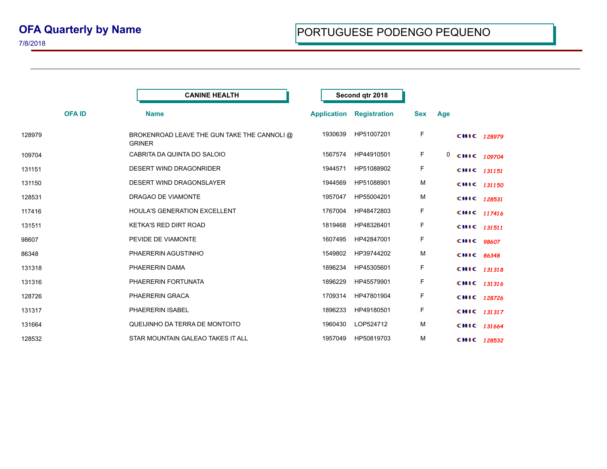7/8/2018

|              | <b>CANINE HEALTH</b>                                         |                    | Second qtr 2018     |            |     |             |  |
|--------------|--------------------------------------------------------------|--------------------|---------------------|------------|-----|-------------|--|
| <b>OFAID</b> | <b>Name</b>                                                  | <b>Application</b> | <b>Registration</b> | <b>Sex</b> | Age |             |  |
| 128979       | BROKENROAD LEAVE THE GUN TAKE THE CANNOLI @<br><b>GRINER</b> | 1930639            | HP51007201          | F          |     | CHIC 128979 |  |
| 109704       | CABRITA DA QUINTA DO SALOIO                                  | 1567574            | HP44910501          | F          | 0   | CHIC 109704 |  |
| 131151       | DESERT WIND DRAGONRIDER                                      | 1944571            | HP51088902          | F          |     | CHIC 131151 |  |
| 131150       | DESERT WIND DRAGONSLAYER                                     | 1944569            | HP51088901          | M          |     | CHIC 131150 |  |
| 128531       | DRAGAO DE VIAMONTE                                           | 1957047            | HP55004201          | M          |     | CHIC 128531 |  |
| 117416       | <b>HOULA'S GENERATION EXCELLENT</b>                          | 1767004            | HP48472803          | F          |     | CHIC 117416 |  |
| 131511       | <b>KETKA'S RED DIRT ROAD</b>                                 | 1819468            | HP48326401          | F          |     | CHIC 131511 |  |
| 98607        | PEVIDE DE VIAMONTE                                           | 1607495            | HP42847001          | F          |     | CHIC 98607  |  |
| 86348        | PHAERERIN AGUSTINHO                                          | 1549802            | HP39744202          | M          |     | CHIC 86348  |  |
| 131318       | PHAERERIN DAMA                                               | 1896234            | HP45305601          | F          |     | CHIC 131318 |  |
| 131316       | PHAERERIN FORTUNATA                                          | 1896229            | HP45579901          | F          |     | CHIC 131316 |  |
| 128726       | PHAERERIN GRACA                                              | 1709314            | HP47801904          | F          |     | CHIC 128726 |  |
| 131317       | PHAERERIN ISABEL                                             | 1896233            | HP49180501          | F          |     | CHIC 131317 |  |
| 131664       | QUEIJINHO DA TERRA DE MONTOITO                               | 1960430            | LOP524712           | M          |     | CHIC 131664 |  |
| 128532       | STAR MOUNTAIN GALEAO TAKES IT ALL                            | 1957049            | HP50819703          | М          |     | CHIC 128532 |  |

÷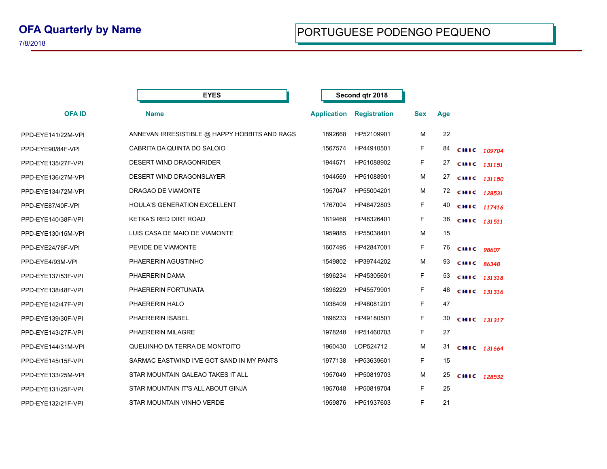## **OFA Quarterly by Name**

7/8/2018

|                    | <b>EYES</b>                                   |                    | Second qtr 2018     |            |     |                |  |
|--------------------|-----------------------------------------------|--------------------|---------------------|------------|-----|----------------|--|
| <b>OFAID</b>       | <b>Name</b>                                   | <b>Application</b> | <b>Registration</b> | <b>Sex</b> | Age |                |  |
| PPD-EYE141/22M-VPI | ANNEVAN IRRESISTIBLE @ HAPPY HOBBITS AND RAGS | 1892668            | HP52109901          | М          | 22  |                |  |
| PPD-EYE90/84F-VPI  | CABRITA DA QUINTA DO SALOIO                   | 1567574            | HP44910501          | F          | 84  | CHIC 109704    |  |
| PPD-EYE135/27F-VPI | DESERT WIND DRAGONRIDER                       | 1944571            | HP51088902          | F          |     | 27 сніс 131151 |  |
| PPD-EYE136/27M-VPI | DESERT WIND DRAGONSLAYER                      | 1944569            | HP51088901          | M          |     | 27 CHIC 131150 |  |
| PPD-EYE134/72M-VPI | DRAGAO DE VIAMONTE                            | 1957047            | HP55004201          | M          |     | 72 CHIC 128531 |  |
| PPD-EYE87/40F-VPI  | HOULA'S GENERATION EXCELLENT                  | 1767004            | HP48472803          | F          |     | 40 CHIC 117416 |  |
| PPD-EYE140/38F-VPI | <b>KETKA'S RED DIRT ROAD</b>                  | 1819468            | HP48326401          | F          | 38  | CHIC 131511    |  |
| PPD-EYE130/15M-VPI | LUIS CASA DE MAIO DE VIAMONTE                 | 1959885            | HP55038401          | M          | 15  |                |  |
| PPD-EYE24/76F-VPI  | PEVIDE DE VIAMONTE                            | 1607495            | HP42847001          | F.         |     | 76 CHIC 98607  |  |
| PPD-EYE4/93M-VPI   | PHAERERIN AGUSTINHO                           | 1549802            | HP39744202          | M          | 93  | CHIC 86348     |  |
| PPD-EYE137/53F-VPI | PHAERERIN DAMA                                | 1896234            | HP45305601          | F          | 53  | CHIC 131318    |  |
| PPD-EYE138/48F-VPI | PHAERERIN FORTUNATA                           | 1896229            | HP45579901          | F.         | 48  | CHIC 131316    |  |
| PPD-EYE142/47F-VPI | PHAERERIN HALO                                | 1938409            | HP48081201          | F          | 47  |                |  |
| PPD-EYE139/30F-VPI | PHAERERIN ISABEL                              | 1896233            | HP49180501          | F          | 30  | CHIC 131317    |  |
| PPD-EYE143/27F-VPI | PHAERERIN MILAGRE                             | 1978248            | HP51460703          | F.         | 27  |                |  |
| PPD-EYE144/31M-VPI | QUEIJINHO DA TERRA DE MONTOITO                | 1960430            | LOP524712           | M          | 31  | CHIC 131664    |  |
| PPD-EYE145/15F-VPI | SARMAC EASTWIND I'VE GOT SAND IN MY PANTS     | 1977138            | HP53639601          | F          | 15  |                |  |
| PPD-EYE133/25M-VPI | STAR MOUNTAIN GALEAO TAKES IT ALL             | 1957049            | HP50819703          | M          | 25  | CHIC 128532    |  |
| PPD-EYE131/25F-VPI | STAR MOUNTAIN IT'S ALL ABOUT GINJA            | 1957048            | HP50819704          | F.         | 25  |                |  |
| PPD-EYE132/21F-VPI | STAR MOUNTAIN VINHO VERDE                     | 1959876            | HP51937603          | F          | 21  |                |  |